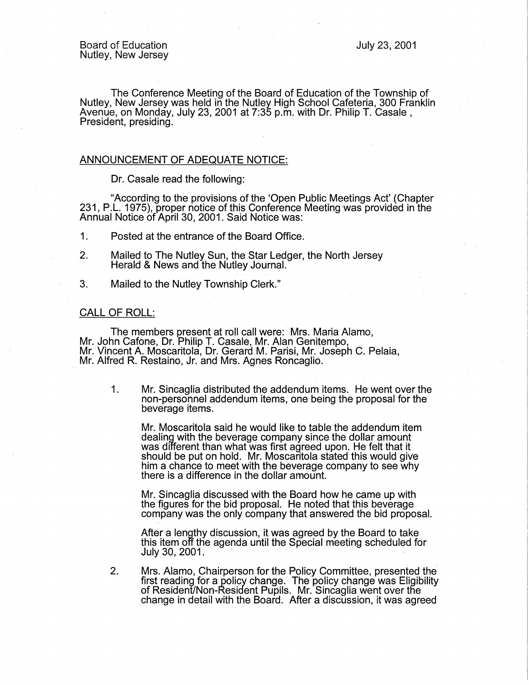The Conference Meeting of the Board of Education of the Township of Nutley, New Jersey was held in the Nutley High School Cafeteria, 300 Franklin Avenue, on Monday, July 23, 2001 at 7:35 p.m. with Dr. Philip T. Casale , President, presiding.

## ANNOUNCEMENT OF ADEQUATE NOTICE:

Dr. Casale read the following:

"According to the provisions of the 'Open Public Meetings Act' (Chapter 231, P.L. 1975), proper notice of this Conference Meeting was provided in the Annual Notice of April 30, 2001. Said Notice was: .

1. Posted at the entrance of the Board Office.

- 2. Mailed to The Nutley Sun, the Star Ledger, the North Jersey Herald & News and the Nutley Journal.·
- 3. Mailed to the Nutley Township Clerk."

## CALL OF ROLL:

The members present at roll call were: Mrs. Maria Alamo, Mr. John Catone, Dr. Philip T. Casale, Mr. Alan Genitempo, Mr. Vincent A Moscaritola, Dr. Gerard M. Parisi, Mr. Joseph C. Pelaia, Mr. Alfred R. Restaino, Jr. and Mrs. Agnes Roncaglio.

1. Mr. Sincaglia distributed the addendum items. He went over the non-personnel addendum items, one being the proposal for the beverage items.

Mr. Moscaritola said he would like to table the addendum item dealing with the beverage company since the dollar amount was different than what was first agreed upon. He felt that it should be put on hold. Mr. Moscaritola stated this would give him a chance to meet with the beverage company to see why there is a difference in the dollar amount.

Mr. Sincaglia discussed with the Board how he came up with the figures for the bid proposal. He noted that this beverage company was the only company that answered the bid proposal.

After a lengthy discussion, it was agreed by the Board to take this item off the agenda until the Special meeting scheduled for July 30, 2001.

2. Mrs. Alamo, Chairperson for the Policy Committee, presented the· first reading for a policy change. The policy change was Eligibility of Resident/Non-Resident Pupils. Mr. Sincaglia went over the change in detail with the Board. After a discussion, it was agreed